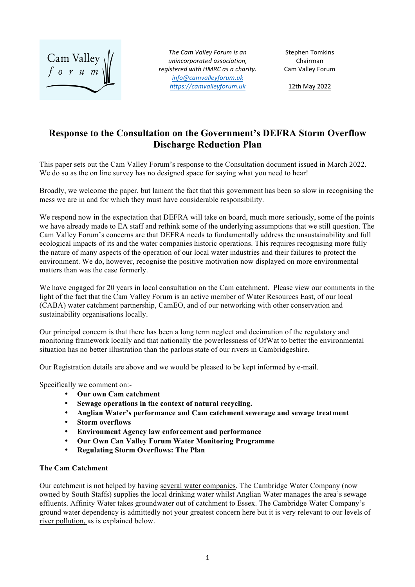

The Cam Valley Forum is an *unincorporated association, registered with HMRC as a charity. info@camvalleyforum.uk https://camvalleyforum.uk*

Stephen Tomkins Chairman Cam Valley Forum

12th May 2022

# **Response to the Consultation on the Government's DEFRA Storm Overflow Discharge Reduction Plan**

This paper sets out the Cam Valley Forum's response to the Consultation document issued in March 2022. We do so as the on line survey has no designed space for saying what you need to hear!

Broadly, we welcome the paper, but lament the fact that this government has been so slow in recognising the mess we are in and for which they must have considerable responsibility.

We respond now in the expectation that DEFRA will take on board, much more seriously, some of the points we have already made to EA staff and rethink some of the underlying assumptions that we still question. The Cam Valley Forum's concerns are that DEFRA needs to fundamentally address the unsustainability and full ecological impacts of its and the water companies historic operations. This requires recognising more fully the nature of many aspects of the operation of our local water industries and their failures to protect the environment. We do, however, recognise the positive motivation now displayed on more environmental matters than was the case formerly.

We have engaged for 20 years in local consultation on the Cam catchment. Please view our comments in the light of the fact that the Cam Valley Forum is an active member of Water Resources East, of our local (CABA) water catchment partnership, CamEO, and of our networking with other conservation and sustainability organisations locally.

Our principal concern is that there has been a long term neglect and decimation of the regulatory and monitoring framework locally and that nationally the powerlessness of OfWat to better the environmental situation has no better illustration than the parlous state of our rivers in Cambridgeshire.

Our Registration details are above and we would be pleased to be kept informed by e-mail.

Specifically we comment on:-

- **Our own Cam catchment**
- **Sewage operations in the context of natural recycling.**
- **Anglian Water's performance and Cam catchment sewerage and sewage treatment**
- **Storm overflows**
- **Environment Agency law enforcement and performance**
- **Our Own Can Valley Forum Water Monitoring Programme**
- **Regulating Storm Overflows: The Plan**

#### **The Cam Catchment**

Our catchment is not helped by having several water companies. The Cambridge Water Company (now owned by South Staffs) supplies the local drinking water whilst Anglian Water manages the area's sewage effluents. Affinity Water takes groundwater out of catchment to Essex. The Cambridge Water Company's ground water dependency is admittedly not your greatest concern here but it is very relevant to our levels of river pollution, as is explained below.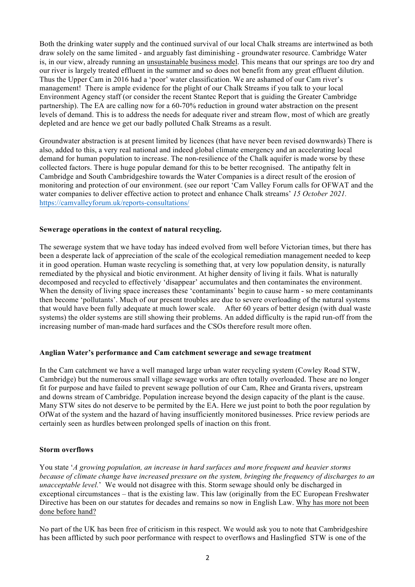Both the drinking water supply and the continued survival of our local Chalk streams are intertwined as both draw solely on the same limited - and arguably fast diminishing - groundwater resource. Cambridge Water is, in our view, already running an unsustainable business model. This means that our springs are too dry and our river is largely treated effluent in the summer and so does not benefit from any great effluent dilution. Thus the Upper Cam in 2016 had a 'poor' water classification. We are ashamed of our Cam river's management! There is ample evidence for the plight of our Chalk Streams if you talk to your local Environment Agency staff (or consider the recent Stantec Report that is guiding the Greater Cambridge partnership). The EA are calling now for a 60-70% reduction in ground water abstraction on the present levels of demand. This is to address the needs for adequate river and stream flow, most of which are greatly depleted and are hence we get our badly polluted Chalk Streams as a result.

Groundwater abstraction is at present limited by licences (that have never been revised downwards) There is also, added to this, a very real national and indeed global climate emergency and an accelerating local demand for human population to increase. The non-resilience of the Chalk aquifer is made worse by these collected factors. There is huge popular demand for this to be better recognised. The antipathy felt in Cambridge and South Cambridgeshire towards the Water Companies is a direct result of the erosion of monitoring and protection of our environment. (see our report 'Cam Valley Forum calls for OFWAT and the water companies to deliver effective action to protect and enhance Chalk streams' *15 October 2021.*  https://camvalleyforum.uk/reports-consultations/

### **Sewerage operations in the context of natural recycling.**

The sewerage system that we have today has indeed evolved from well before Victorian times, but there has been a desperate lack of appreciation of the scale of the ecological remediation management needed to keep it in good operation. Human waste recycling is something that, at very low population density, is naturally remediated by the physical and biotic environment. At higher density of living it fails. What is naturally decomposed and recycled to effectively 'disappear' accumulates and then contaminates the environment. When the density of living space increases these 'contaminants' begin to cause harm - so mere contaminants then become 'pollutants'. Much of our present troubles are due to severe overloading of the natural systems that would have been fully adequate at much lower scale. After 60 years of better design (with dual waste systems) the older systems are still showing their problems. An added difficulty is the rapid run-off from the increasing number of man-made hard surfaces and the CSOs therefore result more often.

#### **Anglian Water's performance and Cam catchment sewerage and sewage treatment**

In the Cam catchment we have a well managed large urban water recycling system (Cowley Road STW, Cambridge) but the numerous small village sewage works are often totally overloaded. These are no longer fit for purpose and have failed to prevent sewage pollution of our Cam, Rhee and Granta rivers, upstream and downs stream of Cambridge. Population increase beyond the design capacity of the plant is the cause. Many STW sites do not deserve to be permited by the EA. Here we just point to both the poor regulation by OfWat of the system and the hazard of having insufficiently monitored businesses. Price review periods are certainly seen as hurdles between prolonged spells of inaction on this front.

#### **Storm overflows**

You state '*A growing population, an increase in hard surfaces and more frequent and heavier storms because of climate change have increased pressure on the system, bringing the frequency of discharges to an unacceptable level.*' We would not disagree with this. Storm sewage should only be discharged in exceptional circumstances – that is the existing law. This law (originally from the EC European Freshwater Directive has been on our statutes for decades and remains so now in English Law. Why has more not been done before hand?

No part of the UK has been free of criticism in this respect. We would ask you to note that Cambridgeshire has been afflicted by such poor performance with respect to overflows and Haslingfied STW is one of the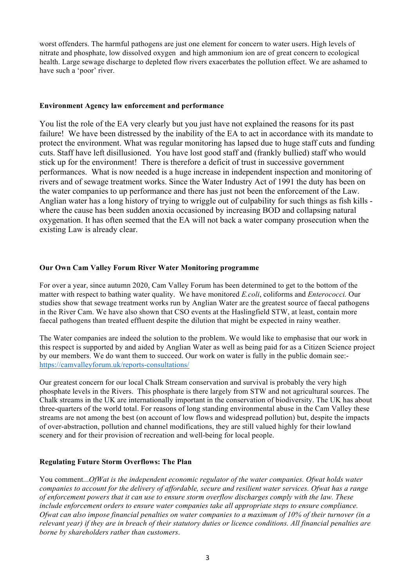worst offenders. The harmful pathogens are just one element for concern to water users. High levels of nitrate and phosphate, low dissolved oxygen and high ammonium ion are of great concern to ecological health. Large sewage discharge to depleted flow rivers exacerbates the pollution effect. We are ashamed to have such a 'poor' river.

#### **Environment Agency law enforcement and performance**

You list the role of the EA very clearly but you just have not explained the reasons for its past failure! We have been distressed by the inability of the EA to act in accordance with its mandate to protect the environment. What was regular monitoring has lapsed due to huge staff cuts and funding cuts. Staff have left disillusioned. You have lost good staff and (frankly bullied) staff who would stick up for the environment! There is therefore a deficit of trust in successive government performances. What is now needed is a huge increase in independent inspection and monitoring of rivers and of sewage treatment works. Since the Water Industry Act of 1991 the duty has been on the water companies to up performance and there has just not been the enforcement of the Law. Anglian water has a long history of trying to wriggle out of culpability for such things as fish kills where the cause has been sudden anoxia occasioned by increasing BOD and collapsing natural oxygenation. It has often seemed that the EA will not back a water company prosecution when the existing Law is already clear.

## **Our Own Cam Valley Forum River Water Monitoring programme**

For over a year, since autumn 2020, Cam Valley Forum has been determined to get to the bottom of the matter with respect to bathing water quality. We have monitored *E.coli*, coliforms and *Enterococci.* Our studies show that sewage treatment works run by Anglian Water are the greatest source of faecal pathogens in the River Cam. We have also shown that CSO events at the Haslingfield STW, at least, contain more faecal pathogens than treated effluent despite the dilution that might be expected in rainy weather.

The Water companies are indeed the solution to the problem. We would like to emphasise that our work in this respect is supported by and aided by Anglian Water as well as being paid for as a Citizen Science project by our members. We do want them to succeed. Our work on water is fully in the public domain see: https://camvalleyforum.uk/reports-consultations/

Our greatest concern for our local Chalk Stream conservation and survival is probably the very high phosphate levels in the Rivers. This phosphate is there largely from STW and not agricultural sources. The Chalk streams in the UK are internationally important in the conservation of biodiversity. The UK has about three-quarters of the world total. For reasons of long standing environmental abuse in the Cam Valley these streams are not among the best (on account of low flows and widespread pollution) but, despite the impacts of over-abstraction, pollution and channel modifications, they are still valued highly for their lowland scenery and for their provision of recreation and well-being for local people.

## **Regulating Future Storm Overflows: The Plan**

You comment...*OfWat is the independent economic regulator of the water companies. Ofwat holds water companies to account for the delivery of affordable, secure and resilient water services. Ofwat has a range of enforcement powers that it can use to ensure storm overflow discharges comply with the law. These include enforcement orders to ensure water companies take all appropriate steps to ensure compliance. Ofwat can also impose financial penalties on water companies to a maximum of 10% of their turnover (in a relevant year) if they are in breach of their statutory duties or licence conditions. All financial penalties are borne by shareholders rather than customers*.